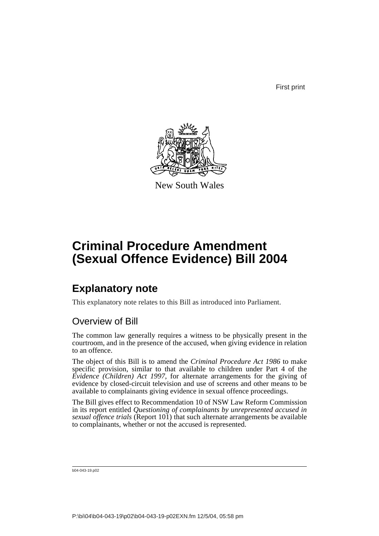First print



New South Wales

# **Criminal Procedure Amendment (Sexual Offence Evidence) Bill 2004**

## **Explanatory note**

This explanatory note relates to this Bill as introduced into Parliament.

## Overview of Bill

The common law generally requires a witness to be physically present in the courtroom, and in the presence of the accused, when giving evidence in relation to an offence.

The object of this Bill is to amend the *Criminal Procedure Act 1986* to make specific provision, similar to that available to children under Part 4 of the *Evidence (Children) Act 1997*, for alternate arrangements for the giving of evidence by closed-circuit television and use of screens and other means to be available to complainants giving evidence in sexual offence proceedings.

The Bill gives effect to Recommendation 10 of NSW Law Reform Commission in its report entitled *Questioning of complainants by unrepresented accused in sexual offence trials* (Report 101) that such alternate arrangements be available to complainants, whether or not the accused is represented.

b04-043-19.p02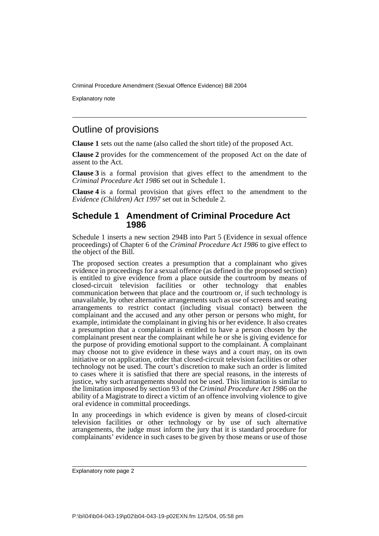Explanatory note

## Outline of provisions

**Clause 1** sets out the name (also called the short title) of the proposed Act.

**Clause 2** provides for the commencement of the proposed Act on the date of assent to the Act.

**Clause 3** is a formal provision that gives effect to the amendment to the *Criminal Procedure Act 1986* set out in Schedule 1.

**Clause 4** is a formal provision that gives effect to the amendment to the *Evidence (Children) Act 1997* set out in Schedule 2.

#### **Schedule 1 Amendment of Criminal Procedure Act 1986**

Schedule 1 inserts a new section 294B into Part 5 (Evidence in sexual offence proceedings) of Chapter 6 of the *Criminal Procedure Act 1986* to give effect to the object of the Bill.

The proposed section creates a presumption that a complainant who gives evidence in proceedings for a sexual offence (as defined in the proposed section) is entitled to give evidence from a place outside the courtroom by means of closed-circuit television facilities or other technology that enables communication between that place and the courtroom or, if such technology is unavailable, by other alternative arrangements such as use of screens and seating arrangements to restrict contact (including visual contact) between the complainant and the accused and any other person or persons who might, for example, intimidate the complainant in giving his or her evidence. It also creates a presumption that a complainant is entitled to have a person chosen by the complainant present near the complainant while he or she is giving evidence for the purpose of providing emotional support to the complainant. A complainant may choose not to give evidence in these ways and a court may, on its own initiative or on application, order that closed-circuit television facilities or other technology not be used. The court's discretion to make such an order is limited to cases where it is satisfied that there are special reasons, in the interests of justice, why such arrangements should not be used. This limitation is similar to the limitation imposed by section 93 of the *Criminal Procedure Act 1986* on the ability of a Magistrate to direct a victim of an offence involving violence to give oral evidence in committal proceedings.

In any proceedings in which evidence is given by means of closed-circuit television facilities or other technology or by use of such alternative arrangements, the judge must inform the jury that it is standard procedure for complainants' evidence in such cases to be given by those means or use of those

Explanatory note page 2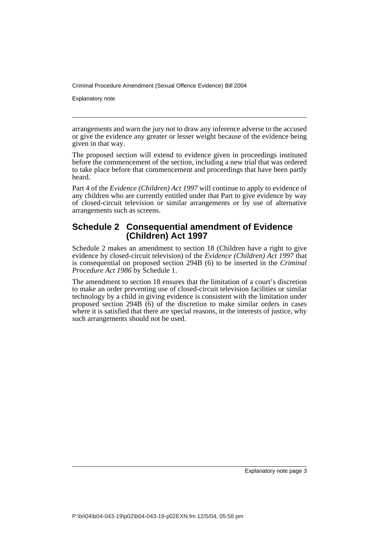Explanatory note

arrangements and warn the jury not to draw any inference adverse to the accused or give the evidence any greater or lesser weight because of the evidence being given in that way.

The proposed section will extend to evidence given in proceedings instituted before the commencement of the section, including a new trial that was ordered to take place before that commencement and proceedings that have been partly heard.

Part 4 of the *Evidence (Children) Act 1997* will continue to apply to evidence of any children who are currently entitled under that Part to give evidence by way of closed-circuit television or similar arrangements or by use of alternative arrangements such as screens.

## **Schedule 2 Consequential amendment of Evidence (Children) Act 1997**

Schedule 2 makes an amendment to section 18 (Children have a right to give evidence by closed-circuit television) of the *Evidence (Children) Act 1997* that is consequential on proposed section 294B (6) to be inserted in the *Criminal Procedure Act 1986* by Schedule 1.

The amendment to section 18 ensures that the limitation of a court's discretion to make an order preventing use of closed-circuit television facilities or similar technology by a child in giving evidence is consistent with the limitation under proposed section 294B (6) of the discretion to make similar orders in cases where it is satisfied that there are special reasons, in the interests of justice, why such arrangements should not be used.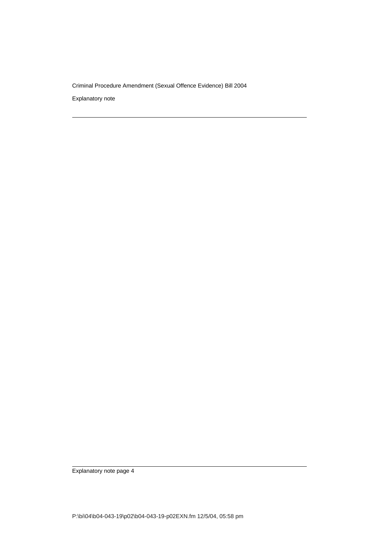Explanatory note

Explanatory note page 4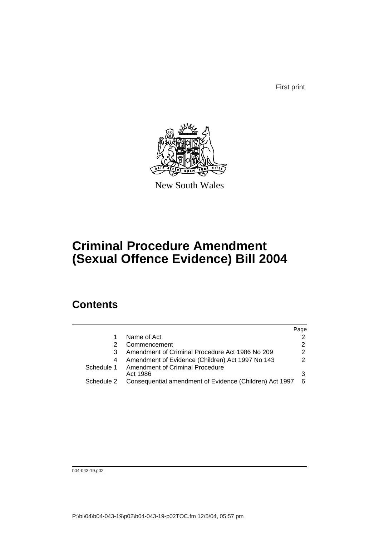First print



New South Wales

# **Criminal Procedure Amendment (Sexual Offence Evidence) Bill 2004**

## **Contents**

|            |                                                         | Page           |
|------------|---------------------------------------------------------|----------------|
|            | Name of Act                                             |                |
| 2          | Commencement                                            | $\mathcal{P}$  |
| 3          | Amendment of Criminal Procedure Act 1986 No 209         | $\overline{2}$ |
| 4          | Amendment of Evidence (Children) Act 1997 No 143        | $\mathcal{P}$  |
| Schedule 1 | Amendment of Criminal Procedure<br>Act 1986             | 3              |
| Schedule 2 | Consequential amendment of Evidence (Children) Act 1997 | 6              |

b04-043-19.p02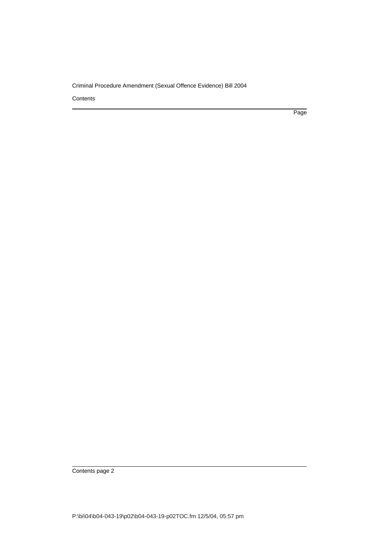**Contents** 

Page

Contents page 2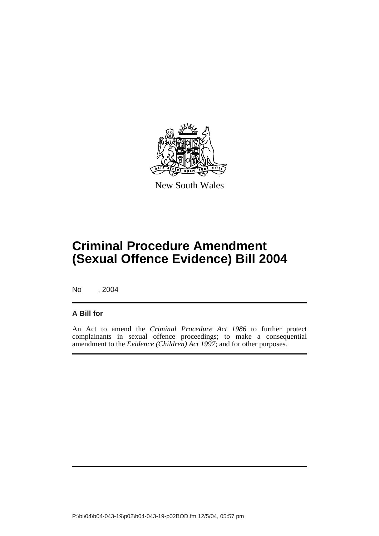

New South Wales

# **Criminal Procedure Amendment (Sexual Offence Evidence) Bill 2004**

No , 2004

#### **A Bill for**

An Act to amend the *Criminal Procedure Act 1986* to further protect complainants in sexual offence proceedings; to make a consequential amendment to the *Evidence (Children) Act 1997*; and for other purposes.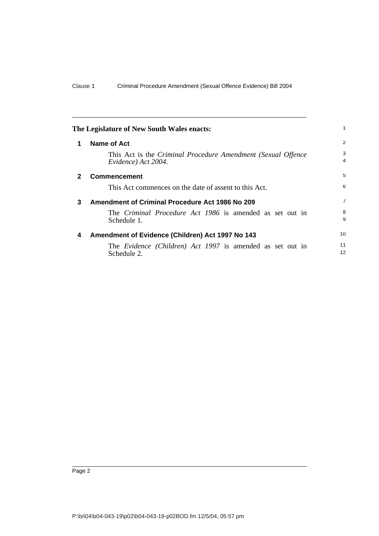<span id="page-7-3"></span><span id="page-7-2"></span><span id="page-7-1"></span><span id="page-7-0"></span>

|              | The Legislature of New South Wales enacts:                                          | 1              |
|--------------|-------------------------------------------------------------------------------------|----------------|
| 1            | Name of Act                                                                         | 2              |
|              | This Act is the Criminal Procedure Amendment (Sexual Offence<br>Evidence) Act 2004. | 3<br>4         |
| $\mathbf{2}$ | <b>Commencement</b>                                                                 | 5              |
|              | This Act commences on the date of assent to this Act.                               | 6              |
| 3            | <b>Amendment of Criminal Procedure Act 1986 No 209</b>                              | $\overline{7}$ |
|              | The Criminal Procedure Act 1986 is amended as set out in<br>Schedule 1.             | 8<br>9         |
| 4            | Amendment of Evidence (Children) Act 1997 No 143                                    | 10             |
|              | The Evidence (Children) Act 1997 is amended as set out in<br>Schedule 2.            | 11<br>12       |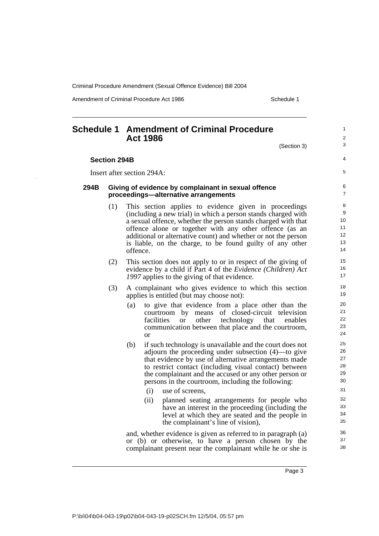Amendment of Criminal Procedure Act 1986 Schedule 1

## <span id="page-8-0"></span>**Schedule 1 Amendment of Criminal Procedure Act 1986**

(Section 3)

1  $\mathfrak{p}$ 3

4

5

#### **Section 294B**

Insert after section 294A:

#### **294B Giving of evidence by complainant in sexual offence proceedings—alternative arrangements**

- (1) This section applies to evidence given in proceedings (including a new trial) in which a person stands charged with a sexual offence, whether the person stands charged with that offence alone or together with any other offence (as an additional or alternative count) and whether or not the person is liable, on the charge, to be found guilty of any other offence.
- (2) This section does not apply to or in respect of the giving of evidence by a child if Part 4 of the *Evidence (Children) Act 1997* applies to the giving of that evidence.
- (3) A complainant who gives evidence to which this section applies is entitled (but may choose not):
	- (a) to give that evidence from a place other than the courtroom by means of closed-circuit television facilities or other technology that enables communication between that place and the courtroom, or
	- (b) if such technology is unavailable and the court does not adjourn the proceeding under subsection (4)—to give that evidence by use of alternative arrangements made to restrict contact (including visual contact) between the complainant and the accused or any other person or persons in the courtroom, including the following:
		- (i) use of screens,
		- (ii) planned seating arrangements for people who have an interest in the proceeding (including the level at which they are seated and the people in the complainant's line of vision),

and, whether evidence is given as referred to in paragraph (a) or (b) or otherwise, to have a person chosen by the complainant present near the complainant while he or she is

Page 3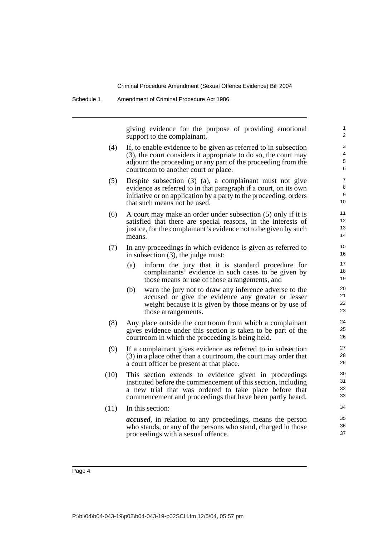giving evidence for the purpose of providing emotional support to the complainant.

- (4) If, to enable evidence to be given as referred to in subsection (3), the court considers it appropriate to do so, the court may adjourn the proceeding or any part of the proceeding from the courtroom to another court or place.
- (5) Despite subsection (3) (a), a complainant must not give evidence as referred to in that paragraph if a court, on its own initiative or on application by a party to the proceeding, orders that such means not be used.
- (6) A court may make an order under subsection (5) only if it is satisfied that there are special reasons, in the interests of justice, for the complainant's evidence not to be given by such means.
- (7) In any proceedings in which evidence is given as referred to in subsection (3), the judge must:
	- (a) inform the jury that it is standard procedure for complainants' evidence in such cases to be given by those means or use of those arrangements, and
	- (b) warn the jury not to draw any inference adverse to the accused or give the evidence any greater or lesser weight because it is given by those means or by use of those arrangements.
- (8) Any place outside the courtroom from which a complainant gives evidence under this section is taken to be part of the courtroom in which the proceeding is being held.
- (9) If a complainant gives evidence as referred to in subsection (3) in a place other than a courtroom, the court may order that a court officer be present at that place.
- (10) This section extends to evidence given in proceedings instituted before the commencement of this section, including a new trial that was ordered to take place before that commencement and proceedings that have been partly heard.
- (11) In this section:

*accused*, in relation to any proceedings, means the person who stands, or any of the persons who stand, charged in those proceedings with a sexual offence.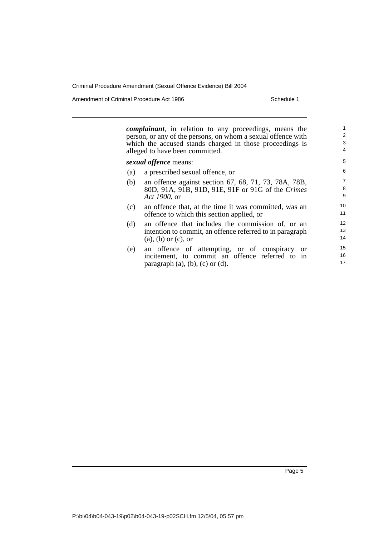Amendment of Criminal Procedure Act 1986 Schedule 1

*complainant*, in relation to any proceedings, means the person, or any of the persons, on whom a sexual offence with which the accused stands charged in those proceedings is alleged to have been committed.

*sexual offence* means:

- (a) a prescribed sexual offence, or
- (b) an offence against section 67, 68, 71, 73, 78A, 78B, 80D, 91A, 91B, 91D, 91E, 91F or 91G of the *Crimes Act 1900*, or
- (c) an offence that, at the time it was committed, was an offence to which this section applied, or
- (d) an offence that includes the commission of, or an intention to commit, an offence referred to in paragraph (a), (b) or (c), or
- (e) an offence of attempting, or of conspiracy or incitement, to commit an offence referred to in paragraph  $(a)$ ,  $(b)$ ,  $(c)$  or  $(d)$ .